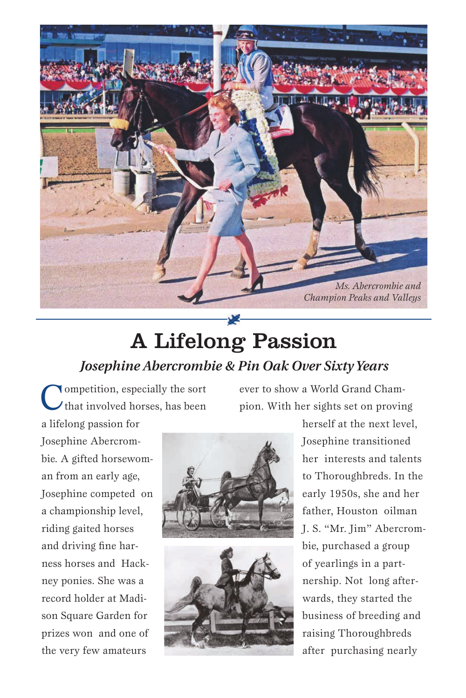

## A Lifelong Passion *Josephine Abercrombie & Pin Oak Over Sixty Years*

Competition, especially the sort<br>
that involved horses, has been

ever to show a World Grand Champion. With her sights set on proving

a lifelong passion for Josephine Abercrombie. A gifted horsewoman from an early age, Josephine competed on a championship level, riding gaited horses and driving fine harness horses and Hackney ponies. She was a record holder at Madison Square Garden for prizes won and one of the very few amateurs



herself at the next level, Josephine transitioned her interests and talents to Thoroughbreds. In the early 1950s, she and her father, Houston oilman J. S. "Mr. Jim" Abercrombie, purchased a group of yearlings in a partnership. Not long afterwards, they started the business of breeding and raising Thoroughbreds after purchasing nearly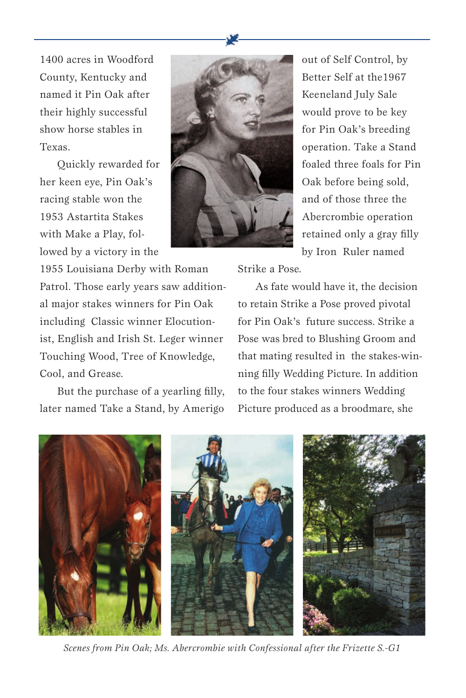1400 acres in Woodford County, Kentucky and named it Pin Oak after their highly successful show horse stables in Texas.

Quickly rewarded for her keen eye, Pin Oak's racing stable won the 1953 Astartita Stakes with Make a Play, followed by a victory in the



out of Self Control, by Better Self at the1967 Keeneland July Sale would prove to be key for Pin Oak's breeding operation. Take a Stand foaled three foals for Pin Oak before being sold, and of those three the Abercrombie operation retained only a gray filly by Iron Ruler named

1955 Louisiana Derby with Roman Patrol. Those early years saw additional major stakes winners for Pin Oak including Classic winner Elocutionist, English and Irish St. Leger winner Touching Wood, Tree of Knowledge, Cool, and Grease.

But the purchase of a yearling filly, later named Take a Stand, by Amerigo Strike a Pose.

As fate would have it, the decision to retain Strike a Pose proved pivotal for Pin Oak's future success. Strike a Pose was bred to Blushing Groom and that mating resulted in the stakes-winning filly Wedding Picture. In addition to the four stakes winners Wedding Picture produced as a broodmare, she



*Scenes from Pin Oak; Ms. Abercrombie with Confessional after the Frizette S.-G1*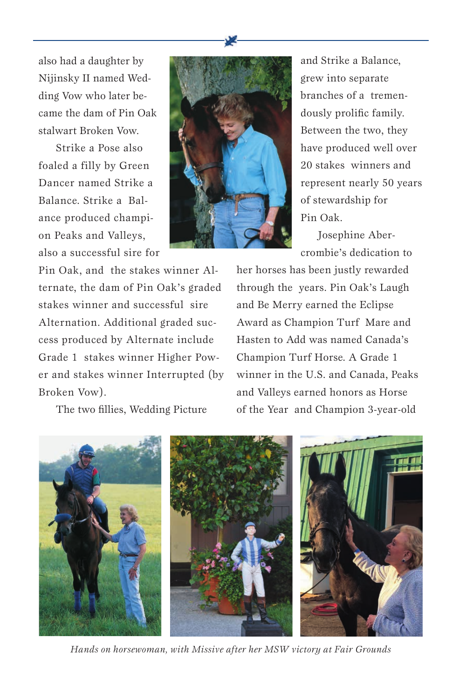also had a daughter by Nijinsky II named Wedding Vow who later became the dam of Pin Oak stalwart Broken Vow.

Strike a Pose also foaled a filly by Green Dancer named Strike a Balance. Strike a Balance produced champion Peaks and Valleys, also a successful sire for



and Strike a Balance, grew into separate branches of a tremendously prolific family. Between the two, they have produced well over 20 stakes winners and represent nearly 50 years of stewardship for Pin Oak.

Josephine Abercrombie's dedication to

Pin Oak, and the stakes winner Alternate, the dam of Pin Oak's graded stakes winner and successful sire Alternation. Additional graded success produced by Alternate include Grade 1 stakes winner Higher Power and stakes winner Interrupted (by Broken Vow).

The two fillies, Wedding Picture

her horses has been justly rewarded through the years. Pin Oak's Laugh and Be Merry earned the Eclipse Award as Champion Turf Mare and Hasten to Add was named Canada's Champion Turf Horse. A Grade 1 winner in the U.S. and Canada, Peaks and Valleys earned honors as Horse of the Year and Champion 3-year-old



*Hands on horsewoman, with Missive after her MSW victory at Fair Grounds*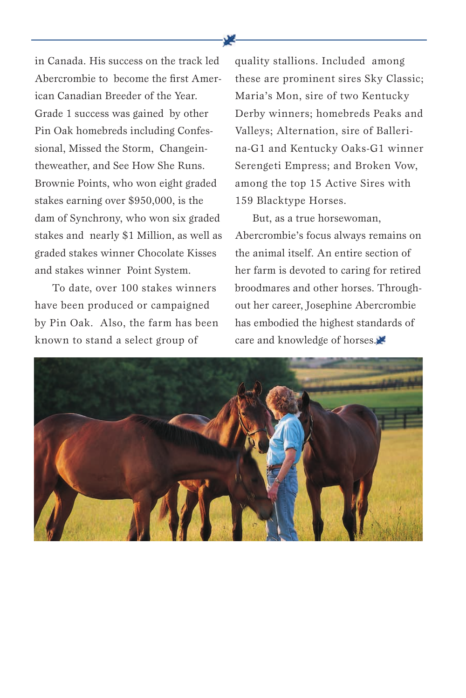in Canada. His success on the track led Abercrombie to become the first American Canadian Breeder of the Year. Grade 1 success was gained by other Pin Oak homebreds including Confessional, Missed the Storm, Changeintheweather, and See How She Runs. Brownie Points, who won eight graded stakes earning over \$950,000, is the dam of Synchrony, who won six graded stakes and nearly \$1 Million, as well as graded stakes winner Chocolate Kisses and stakes winner Point System.

To date, over 100 stakes winners have been produced or campaigned by Pin Oak. Also, the farm has been known to stand a select group of

quality stallions. Included among these are prominent sires Sky Classic; Maria's Mon, sire of two Kentucky Derby winners; homebreds Peaks and Valleys; Alternation, sire of Ballerina-G1 and Kentucky Oaks-G1 winner Serengeti Empress; and Broken Vow, among the top 15 Active Sires with 159 Blacktype Horses.

But, as a true horsewoman, Abercrombie's focus always remains on the animal itself. An entire section of her farm is devoted to caring for retired broodmares and other horses. Throughout her career, Josephine Abercrombie has embodied the highest standards of care and knowledge of horses.

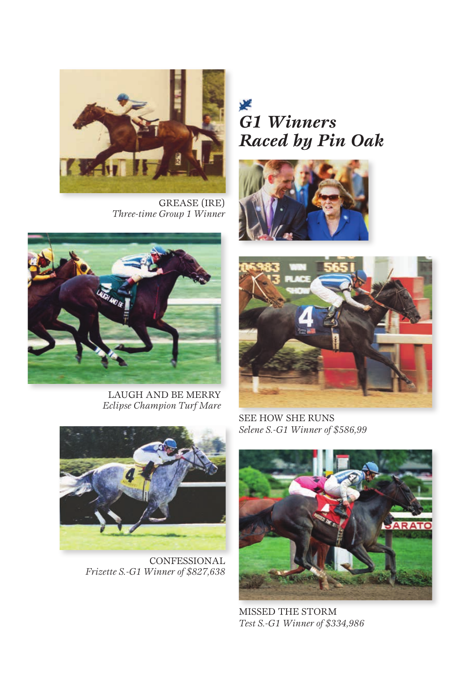

GREASE (IRE) *Three-time Group 1 Winner*

LAUGH AND BE MERRY *Eclipse Champion Turf Mare*

### y. *G1 Winners Raced by Pin Oak*





SEE HOW SHE RUNS *Selene S.-G1 Winner of \$586,99*



MISSED THE STORM *Test S.-G1 Winner of \$334,986*



CONFESSIONAL *Frizette S.-G1 Winner of \$827,638*